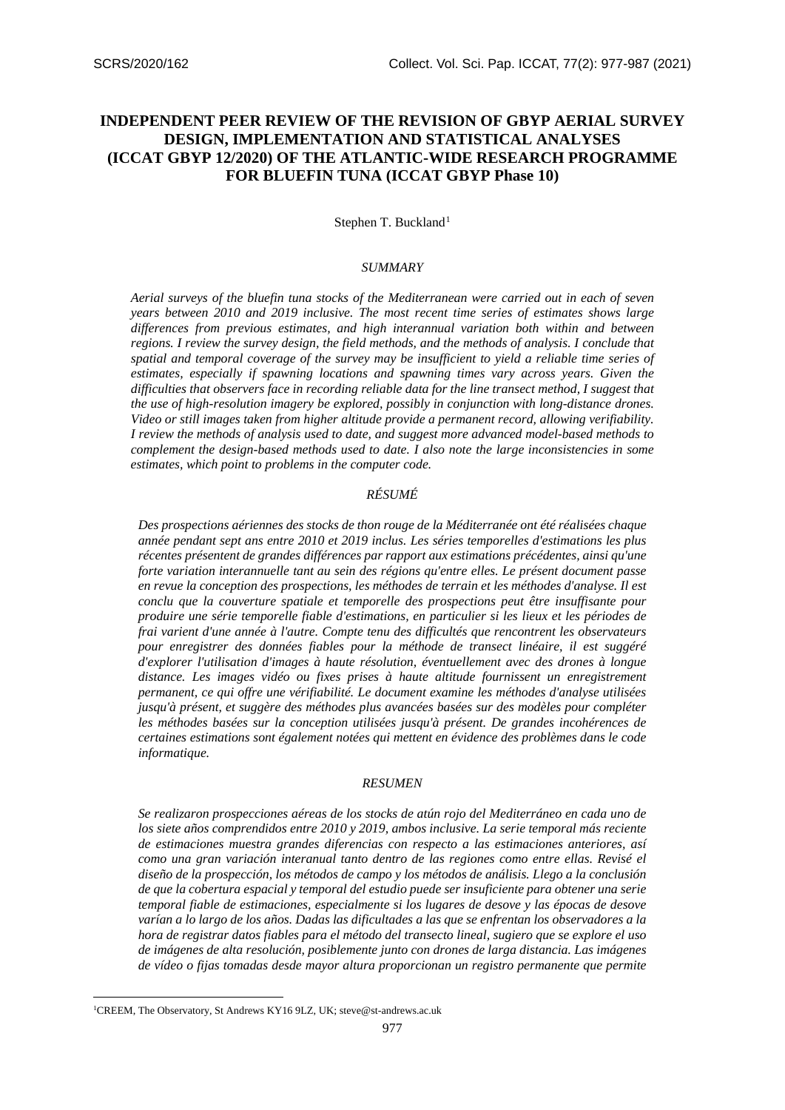# **INDEPENDENT PEER REVIEW OF THE REVISION OF GBYP AERIAL SURVEY DESIGN, IMPLEMENTATION AND STATISTICAL ANALYSES (ICCAT GBYP 12/2020) OF THE ATLANTIC-WIDE RESEARCH PROGRAMME FOR BLUEFIN TUNA (ICCAT GBYP Phase 10)**

Stephen T. Buckland<sup>[1](#page-0-0)</sup>

# *SUMMARY*

*Aerial surveys of the bluefin tuna stocks of the Mediterranean were carried out in each of seven years between 2010 and 2019 inclusive. The most recent time series of estimates shows large differences from previous estimates, and high interannual variation both within and between regions. I review the survey design, the field methods, and the methods of analysis. I conclude that spatial and temporal coverage of the survey may be insufficient to yield a reliable time series of estimates, especially if spawning locations and spawning times vary across years. Given the difficulties that observers face in recording reliable data for the line transect method, I suggest that the use of high-resolution imagery be explored, possibly in conjunction with long-distance drones. Video or still images taken from higher altitude provide a permanent record, allowing verifiability. I review the methods of analysis used to date, and suggest more advanced model-based methods to complement the design-based methods used to date. I also note the large inconsistencies in some estimates, which point to problems in the computer code.*

#### *RÉSUMÉ*

*Des prospections aériennes des stocks de thon rouge de la Méditerranée ont été réalisées chaque année pendant sept ans entre 2010 et 2019 inclus. Les séries temporelles d'estimations les plus récentes présentent de grandes différences par rapport aux estimations précédentes, ainsi qu'une forte variation interannuelle tant au sein des régions qu'entre elles. Le présent document passe en revue la conception des prospections, les méthodes de terrain et les méthodes d'analyse. Il est conclu que la couverture spatiale et temporelle des prospections peut être insuffisante pour produire une série temporelle fiable d'estimations, en particulier si les lieux et les périodes de frai varient d'une année à l'autre. Compte tenu des difficultés que rencontrent les observateurs pour enregistrer des données fiables pour la méthode de transect linéaire, il est suggéré d'explorer l'utilisation d'images à haute résolution, éventuellement avec des drones à longue distance. Les images vidéo ou fixes prises à haute altitude fournissent un enregistrement permanent, ce qui offre une vérifiabilité. Le document examine les méthodes d'analyse utilisées jusqu'à présent, et suggère des méthodes plus avancées basées sur des modèles pour compléter les méthodes basées sur la conception utilisées jusqu'à présent. De grandes incohérences de certaines estimations sont également notées qui mettent en évidence des problèmes dans le code informatique.*

#### *RESUMEN*

*Se realizaron prospecciones aéreas de los stocks de atún rojo del Mediterráneo en cada uno de los siete años comprendidos entre 2010 y 2019, ambos inclusive. La serie temporal más reciente de estimaciones muestra grandes diferencias con respecto a las estimaciones anteriores, así como una gran variación interanual tanto dentro de las regiones como entre ellas. Revisé el diseño de la prospección, los métodos de campo y los métodos de análisis. Llego a la conclusión de que la cobertura espacial y temporal del estudio puede ser insuficiente para obtener una serie temporal fiable de estimaciones, especialmente si los lugares de desove y las épocas de desove varían a lo largo de los años. Dadas las dificultades a las que se enfrentan los observadores a la hora de registrar datos fiables para el método del transecto lineal, sugiero que se explore el uso de imágenes de alta resolución, posiblemente junto con drones de larga distancia. Las imágenes de vídeo o fijas tomadas desde mayor altura proporcionan un registro permanente que permite* 

<span id="page-0-0"></span><sup>1</sup> CREEM, The Observatory, St Andrews KY16 9LZ, UK; steve@st-andrews.ac.uk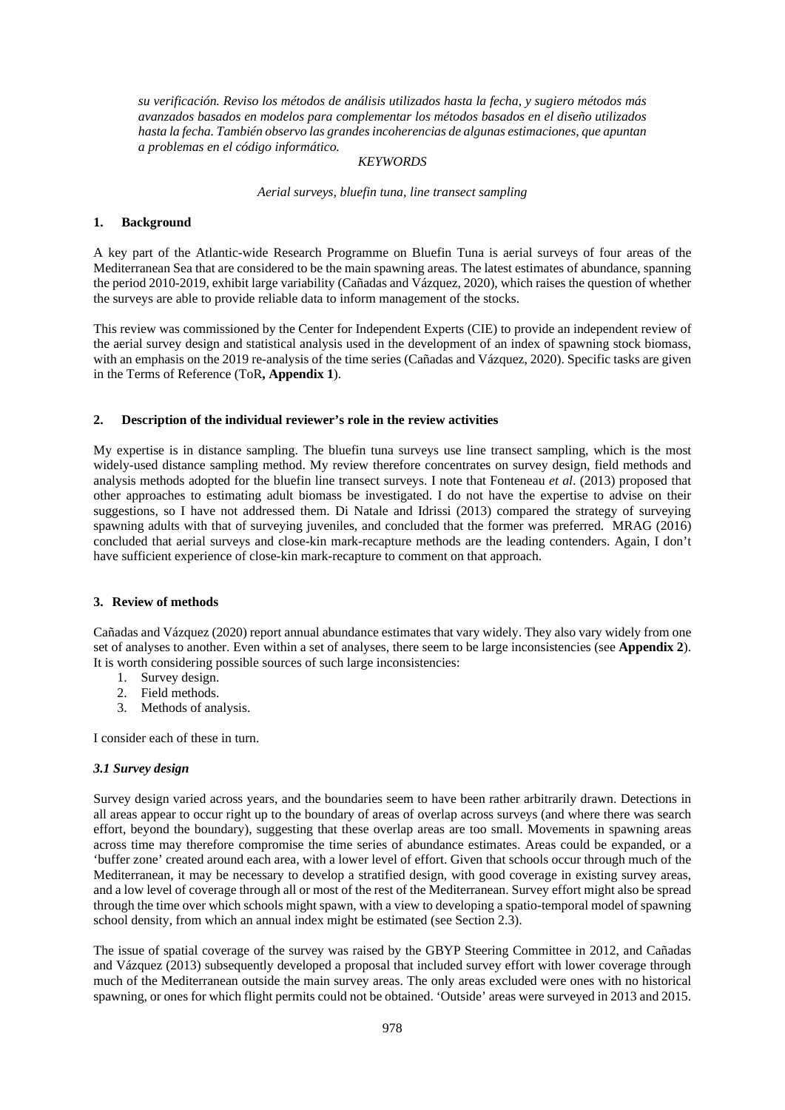*su verificación. Reviso los métodos de análisis utilizados hasta la fecha, y sugiero métodos más avanzados basados en modelos para complementar los métodos basados en el diseño utilizados hasta la fecha. También observo las grandes incoherencias de algunas estimaciones, que apuntan a problemas en el código informático.*

#### *KEYWORDS*

*Aerial surveys, bluefin tuna, line transect sampling*

# **1. Background**

A key part of the Atlantic-wide Research Programme on Bluefin Tuna is aerial surveys of four areas of the Mediterranean Sea that are considered to be the main spawning areas. The latest estimates of abundance, spanning the period 2010-2019, exhibit large variability (Cañadas and Vázquez, 2020), which raises the question of whether the surveys are able to provide reliable data to inform management of the stocks.

This review was commissioned by the Center for Independent Experts (CIE) to provide an independent review of the aerial survey design and statistical analysis used in the development of an index of spawning stock biomass, with an emphasis on the 2019 re-analysis of the time series (Cañadas and Vázquez, 2020). Specific tasks are given in the Terms of Reference (ToR**, Appendix 1**).

#### **2. Description of the individual reviewer's role in the review activities**

My expertise is in distance sampling. The bluefin tuna surveys use line transect sampling, which is the most widely-used distance sampling method. My review therefore concentrates on survey design, field methods and analysis methods adopted for the bluefin line transect surveys. I note that Fonteneau *et al*. (2013) proposed that other approaches to estimating adult biomass be investigated. I do not have the expertise to advise on their suggestions, so I have not addressed them. Di Natale and Idrissi (2013) compared the strategy of surveying spawning adults with that of surveying juveniles, and concluded that the former was preferred. MRAG (2016) concluded that aerial surveys and close-kin mark-recapture methods are the leading contenders. Again, I don't have sufficient experience of close-kin mark-recapture to comment on that approach.

#### **3. Review of methods**

Cañadas and Vázquez (2020) report annual abundance estimates that vary widely. They also vary widely from one set of analyses to another. Even within a set of analyses, there seem to be large inconsistencies (see **Appendix 2**). It is worth considering possible sources of such large inconsistencies:

- 1. Survey design.
- 2. Field methods.
- 3. Methods of analysis.

I consider each of these in turn.

# *3.1 Survey design*

Survey design varied across years, and the boundaries seem to have been rather arbitrarily drawn. Detections in all areas appear to occur right up to the boundary of areas of overlap across surveys (and where there was search effort, beyond the boundary), suggesting that these overlap areas are too small. Movements in spawning areas across time may therefore compromise the time series of abundance estimates. Areas could be expanded, or a 'buffer zone' created around each area, with a lower level of effort. Given that schools occur through much of the Mediterranean, it may be necessary to develop a stratified design, with good coverage in existing survey areas, and a low level of coverage through all or most of the rest of the Mediterranean. Survey effort might also be spread through the time over which schools might spawn, with a view to developing a spatio-temporal model of spawning school density, from which an annual index might be estimated (see Section 2.3).

The issue of spatial coverage of the survey was raised by the GBYP Steering Committee in 2012, and Cañadas and Vázquez (2013) subsequently developed a proposal that included survey effort with lower coverage through much of the Mediterranean outside the main survey areas. The only areas excluded were ones with no historical spawning, or ones for which flight permits could not be obtained. 'Outside' areas were surveyed in 2013 and 2015.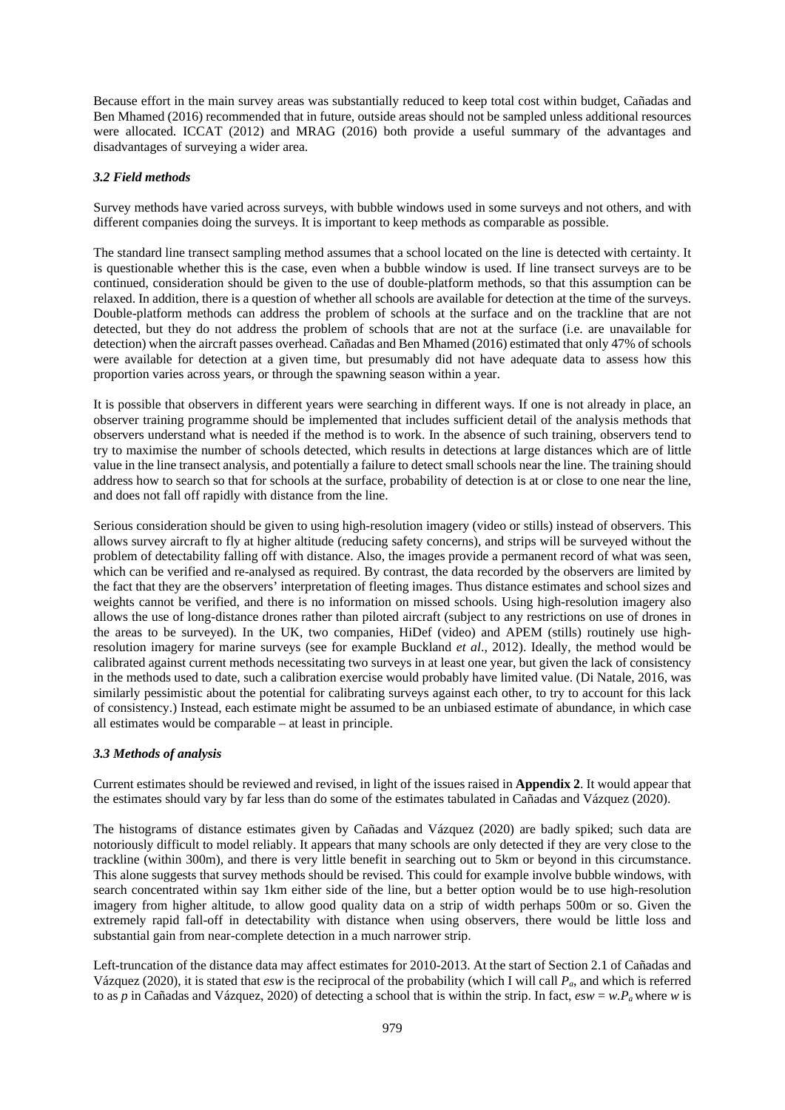Because effort in the main survey areas was substantially reduced to keep total cost within budget, Cañadas and Ben Mhamed (2016) recommended that in future, outside areas should not be sampled unless additional resources were allocated. ICCAT (2012) and MRAG (2016) both provide a useful summary of the advantages and disadvantages of surveying a wider area.

# *3.2 Field methods*

Survey methods have varied across surveys, with bubble windows used in some surveys and not others, and with different companies doing the surveys. It is important to keep methods as comparable as possible.

The standard line transect sampling method assumes that a school located on the line is detected with certainty. It is questionable whether this is the case, even when a bubble window is used. If line transect surveys are to be continued, consideration should be given to the use of double-platform methods, so that this assumption can be relaxed. In addition, there is a question of whether all schools are available for detection at the time of the surveys. Double-platform methods can address the problem of schools at the surface and on the trackline that are not detected, but they do not address the problem of schools that are not at the surface (i.e. are unavailable for detection) when the aircraft passes overhead. Cañadas and Ben Mhamed (2016) estimated that only 47% of schools were available for detection at a given time, but presumably did not have adequate data to assess how this proportion varies across years, or through the spawning season within a year.

It is possible that observers in different years were searching in different ways. If one is not already in place, an observer training programme should be implemented that includes sufficient detail of the analysis methods that observers understand what is needed if the method is to work. In the absence of such training, observers tend to try to maximise the number of schools detected, which results in detections at large distances which are of little value in the line transect analysis, and potentially a failure to detect small schools near the line. The training should address how to search so that for schools at the surface, probability of detection is at or close to one near the line, and does not fall off rapidly with distance from the line.

Serious consideration should be given to using high-resolution imagery (video or stills) instead of observers. This allows survey aircraft to fly at higher altitude (reducing safety concerns), and strips will be surveyed without the problem of detectability falling off with distance. Also, the images provide a permanent record of what was seen, which can be verified and re-analysed as required. By contrast, the data recorded by the observers are limited by the fact that they are the observers' interpretation of fleeting images. Thus distance estimates and school sizes and weights cannot be verified, and there is no information on missed schools. Using high-resolution imagery also allows the use of long-distance drones rather than piloted aircraft (subject to any restrictions on use of drones in the areas to be surveyed). In the UK, two companies, HiDef (video) and APEM (stills) routinely use highresolution imagery for marine surveys (see for example Buckland *et al*., 2012). Ideally, the method would be calibrated against current methods necessitating two surveys in at least one year, but given the lack of consistency in the methods used to date, such a calibration exercise would probably have limited value. (Di Natale, 2016, was similarly pessimistic about the potential for calibrating surveys against each other, to try to account for this lack of consistency.) Instead, each estimate might be assumed to be an unbiased estimate of abundance, in which case all estimates would be comparable – at least in principle.

# *3.3 Methods of analysis*

Current estimates should be reviewed and revised, in light of the issues raised in **Appendix 2**. It would appear that the estimates should vary by far less than do some of the estimates tabulated in Cañadas and Vázquez (2020).

The histograms of distance estimates given by Cañadas and Vázquez (2020) are badly spiked; such data are notoriously difficult to model reliably. It appears that many schools are only detected if they are very close to the trackline (within 300m), and there is very little benefit in searching out to 5km or beyond in this circumstance. This alone suggests that survey methods should be revised. This could for example involve bubble windows, with search concentrated within say 1km either side of the line, but a better option would be to use high-resolution imagery from higher altitude, to allow good quality data on a strip of width perhaps 500m or so. Given the extremely rapid fall-off in detectability with distance when using observers, there would be little loss and substantial gain from near-complete detection in a much narrower strip.

Left-truncation of the distance data may affect estimates for 2010-2013. At the start of Section 2.1 of Cañadas and Vázquez (2020), it is stated that *esw* is the reciprocal of the probability (which I will call *Pa*, and which is referred to as *p* in Cañadas and Vázquez, 2020) of detecting a school that is within the strip. In fact,  $esw = w.P_a$  where *w* is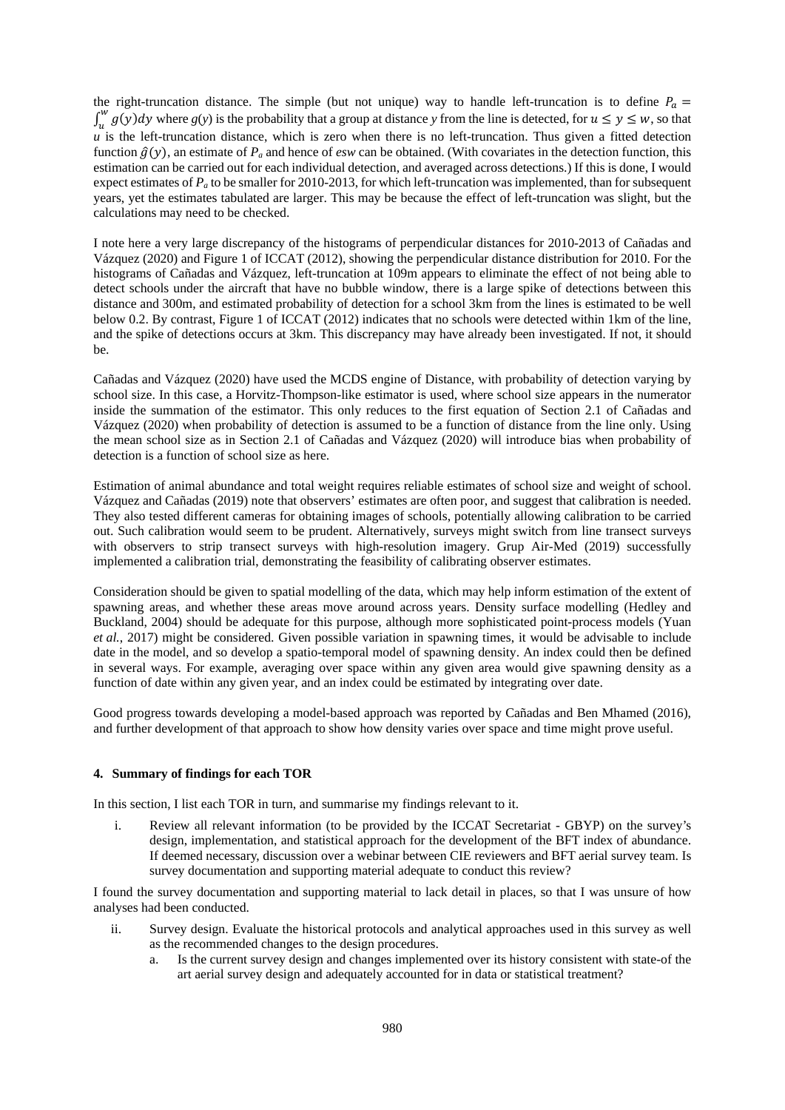the right-truncation distance. The simple (but not unique) way to handle left-truncation is to define  $P_a$  =  $\int_{u}^{w} g(y) dy$  where  $g(y)$  is the probability that a group at distance *y* from the line is detected, for  $u \le y \le w$ , so that  $\mu$  is the left-truncation distance, which is zero when there is no left-truncation. Thus given a fitted detection function  $\hat{g}(y)$ , an estimate of  $P_a$  and hence of *esw* can be obtained. (With covariates in the detection function, this estimation can be carried out for each individual detection, and averaged across detections.) If this is done, I would expect estimates of *Pa* to be smaller for 2010-2013, for which left-truncation was implemented, than for subsequent years, yet the estimates tabulated are larger. This may be because the effect of left-truncation was slight, but the calculations may need to be checked.

I note here a very large discrepancy of the histograms of perpendicular distances for 2010-2013 of Cañadas and Vázquez (2020) and Figure 1 of ICCAT (2012), showing the perpendicular distance distribution for 2010. For the histograms of Cañadas and Vázquez, left-truncation at 109m appears to eliminate the effect of not being able to detect schools under the aircraft that have no bubble window, there is a large spike of detections between this distance and 300m, and estimated probability of detection for a school 3km from the lines is estimated to be well below 0.2. By contrast, Figure 1 of ICCAT (2012) indicates that no schools were detected within 1km of the line, and the spike of detections occurs at 3km. This discrepancy may have already been investigated. If not, it should be.

Cañadas and Vázquez (2020) have used the MCDS engine of Distance, with probability of detection varying by school size. In this case, a Horvitz-Thompson-like estimator is used, where school size appears in the numerator inside the summation of the estimator. This only reduces to the first equation of Section 2.1 of Cañadas and Vázquez (2020) when probability of detection is assumed to be a function of distance from the line only. Using the mean school size as in Section 2.1 of Cañadas and Vázquez (2020) will introduce bias when probability of detection is a function of school size as here.

Estimation of animal abundance and total weight requires reliable estimates of school size and weight of school. Vázquez and Cañadas (2019) note that observers' estimates are often poor, and suggest that calibration is needed. They also tested different cameras for obtaining images of schools, potentially allowing calibration to be carried out. Such calibration would seem to be prudent. Alternatively, surveys might switch from line transect surveys with observers to strip transect surveys with high-resolution imagery. Grup Air-Med (2019) successfully implemented a calibration trial, demonstrating the feasibility of calibrating observer estimates.

Consideration should be given to spatial modelling of the data, which may help inform estimation of the extent of spawning areas, and whether these areas move around across years. Density surface modelling (Hedley and Buckland, 2004) should be adequate for this purpose, although more sophisticated point-process models (Yuan *et al.*, 2017) might be considered. Given possible variation in spawning times, it would be advisable to include date in the model, and so develop a spatio-temporal model of spawning density. An index could then be defined in several ways. For example, averaging over space within any given area would give spawning density as a function of date within any given year, and an index could be estimated by integrating over date.

Good progress towards developing a model-based approach was reported by Cañadas and Ben Mhamed (2016), and further development of that approach to show how density varies over space and time might prove useful.

#### **4. Summary of findings for each TOR**

In this section, I list each TOR in turn, and summarise my findings relevant to it.

i. Review all relevant information (to be provided by the ICCAT Secretariat - GBYP) on the survey's design, implementation, and statistical approach for the development of the BFT index of abundance. If deemed necessary, discussion over a webinar between CIE reviewers and BFT aerial survey team. Is survey documentation and supporting material adequate to conduct this review?

I found the survey documentation and supporting material to lack detail in places, so that I was unsure of how analyses had been conducted.

- ii. Survey design. Evaluate the historical protocols and analytical approaches used in this survey as well as the recommended changes to the design procedures.
	- a. Is the current survey design and changes implemented over its history consistent with state-of the art aerial survey design and adequately accounted for in data or statistical treatment?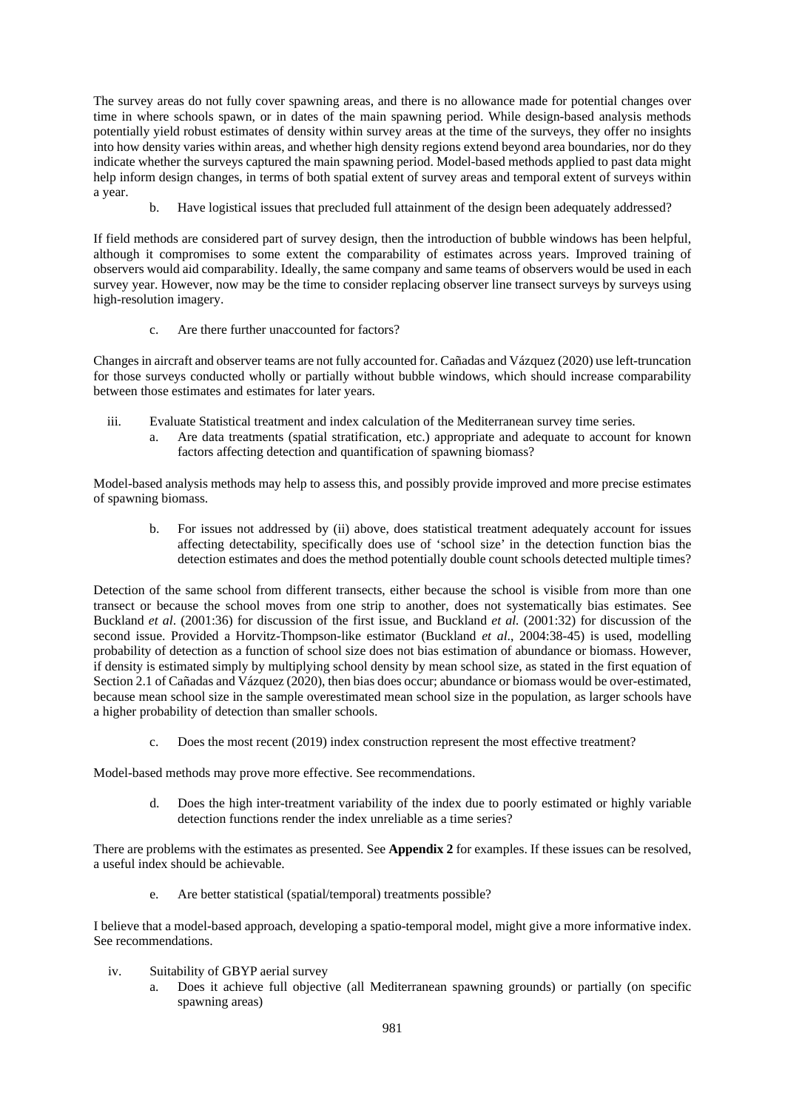The survey areas do not fully cover spawning areas, and there is no allowance made for potential changes over time in where schools spawn, or in dates of the main spawning period. While design-based analysis methods potentially yield robust estimates of density within survey areas at the time of the surveys, they offer no insights into how density varies within areas, and whether high density regions extend beyond area boundaries, nor do they indicate whether the surveys captured the main spawning period. Model-based methods applied to past data might help inform design changes, in terms of both spatial extent of survey areas and temporal extent of surveys within a year.

b. Have logistical issues that precluded full attainment of the design been adequately addressed?

If field methods are considered part of survey design, then the introduction of bubble windows has been helpful, although it compromises to some extent the comparability of estimates across years. Improved training of observers would aid comparability. Ideally, the same company and same teams of observers would be used in each survey year. However, now may be the time to consider replacing observer line transect surveys by surveys using high-resolution imagery.

c. Are there further unaccounted for factors?

Changes in aircraft and observer teams are not fully accounted for. Cañadas and Vázquez (2020) use left-truncation for those surveys conducted wholly or partially without bubble windows, which should increase comparability between those estimates and estimates for later years.

- iii. Evaluate Statistical treatment and index calculation of the Mediterranean survey time series.
	- a. Are data treatments (spatial stratification, etc.) appropriate and adequate to account for known factors affecting detection and quantification of spawning biomass?

Model-based analysis methods may help to assess this, and possibly provide improved and more precise estimates of spawning biomass.

b. For issues not addressed by (ii) above, does statistical treatment adequately account for issues affecting detectability, specifically does use of 'school size' in the detection function bias the detection estimates and does the method potentially double count schools detected multiple times?

Detection of the same school from different transects, either because the school is visible from more than one transect or because the school moves from one strip to another, does not systematically bias estimates. See Buckland *et al*. (2001:36) for discussion of the first issue, and Buckland *et al.* (2001:32) for discussion of the second issue. Provided a Horvitz-Thompson-like estimator (Buckland *et al*., 2004:38-45) is used, modelling probability of detection as a function of school size does not bias estimation of abundance or biomass. However, if density is estimated simply by multiplying school density by mean school size, as stated in the first equation of Section 2.1 of Cañadas and Vázquez (2020), then bias does occur; abundance or biomass would be over-estimated, because mean school size in the sample overestimated mean school size in the population, as larger schools have a higher probability of detection than smaller schools.

c. Does the most recent (2019) index construction represent the most effective treatment?

Model-based methods may prove more effective. See recommendations.

d. Does the high inter-treatment variability of the index due to poorly estimated or highly variable detection functions render the index unreliable as a time series?

There are problems with the estimates as presented. See **Appendix 2** for examples. If these issues can be resolved, a useful index should be achievable.

e. Are better statistical (spatial/temporal) treatments possible?

I believe that a model-based approach, developing a spatio-temporal model, might give a more informative index. See recommendations.

- iv. Suitability of GBYP aerial survey
	- a. Does it achieve full objective (all Mediterranean spawning grounds) or partially (on specific spawning areas)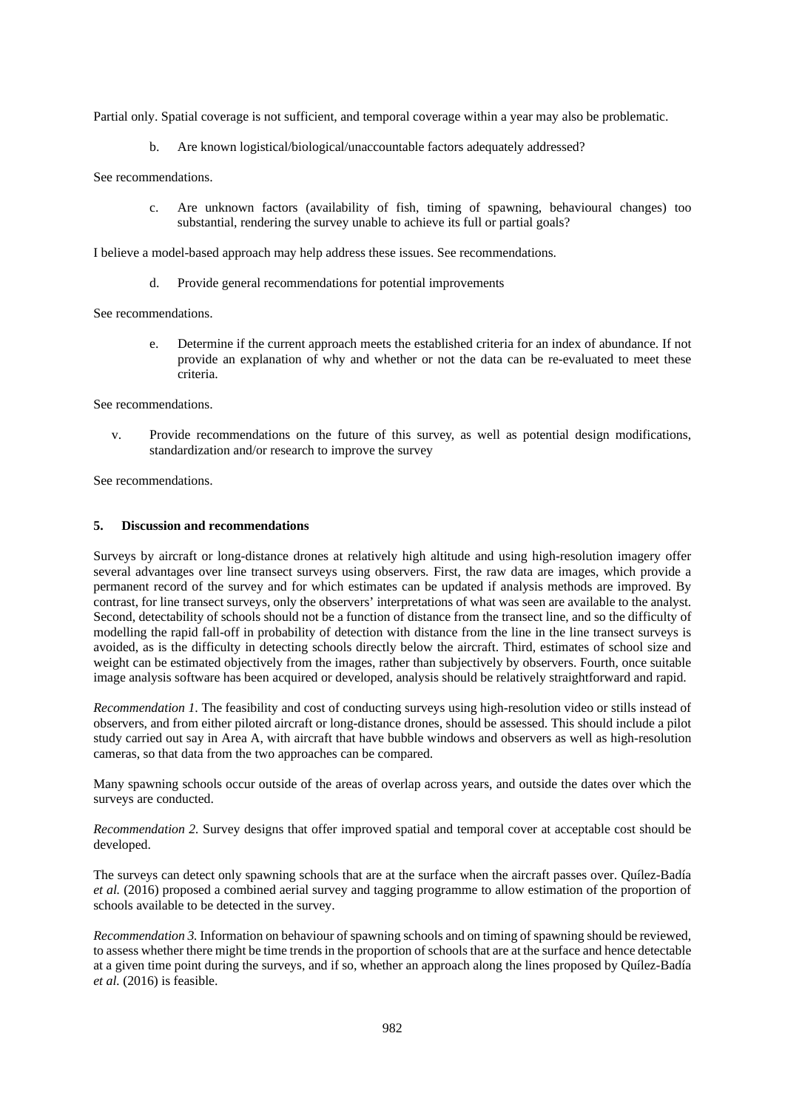Partial only. Spatial coverage is not sufficient, and temporal coverage within a year may also be problematic.

b. Are known logistical/biological/unaccountable factors adequately addressed?

See recommendations.

c. Are unknown factors (availability of fish, timing of spawning, behavioural changes) too substantial, rendering the survey unable to achieve its full or partial goals?

I believe a model-based approach may help address these issues. See recommendations.

d. Provide general recommendations for potential improvements

See recommendations.

e. Determine if the current approach meets the established criteria for an index of abundance. If not provide an explanation of why and whether or not the data can be re-evaluated to meet these criteria.

See recommendations.

v. Provide recommendations on the future of this survey, as well as potential design modifications, standardization and/or research to improve the survey

See recommendations.

#### **5. Discussion and recommendations**

Surveys by aircraft or long-distance drones at relatively high altitude and using high-resolution imagery offer several advantages over line transect surveys using observers. First, the raw data are images, which provide a permanent record of the survey and for which estimates can be updated if analysis methods are improved. By contrast, for line transect surveys, only the observers' interpretations of what was seen are available to the analyst. Second, detectability of schools should not be a function of distance from the transect line, and so the difficulty of modelling the rapid fall-off in probability of detection with distance from the line in the line transect surveys is avoided, as is the difficulty in detecting schools directly below the aircraft. Third, estimates of school size and weight can be estimated objectively from the images, rather than subjectively by observers. Fourth, once suitable image analysis software has been acquired or developed, analysis should be relatively straightforward and rapid.

*Recommendation 1*. The feasibility and cost of conducting surveys using high-resolution video or stills instead of observers, and from either piloted aircraft or long-distance drones, should be assessed. This should include a pilot study carried out say in Area A, with aircraft that have bubble windows and observers as well as high-resolution cameras, so that data from the two approaches can be compared.

Many spawning schools occur outside of the areas of overlap across years, and outside the dates over which the surveys are conducted.

*Recommendation 2.* Survey designs that offer improved spatial and temporal cover at acceptable cost should be developed.

The surveys can detect only spawning schools that are at the surface when the aircraft passes over. Quílez-Badía *et al.* (2016) proposed a combined aerial survey and tagging programme to allow estimation of the proportion of schools available to be detected in the survey.

*Recommendation 3.* Information on behaviour of spawning schools and on timing of spawning should be reviewed, to assess whether there might be time trends in the proportion of schools that are at the surface and hence detectable at a given time point during the surveys, and if so, whether an approach along the lines proposed by Quílez-Badía *et al.* (2016) is feasible.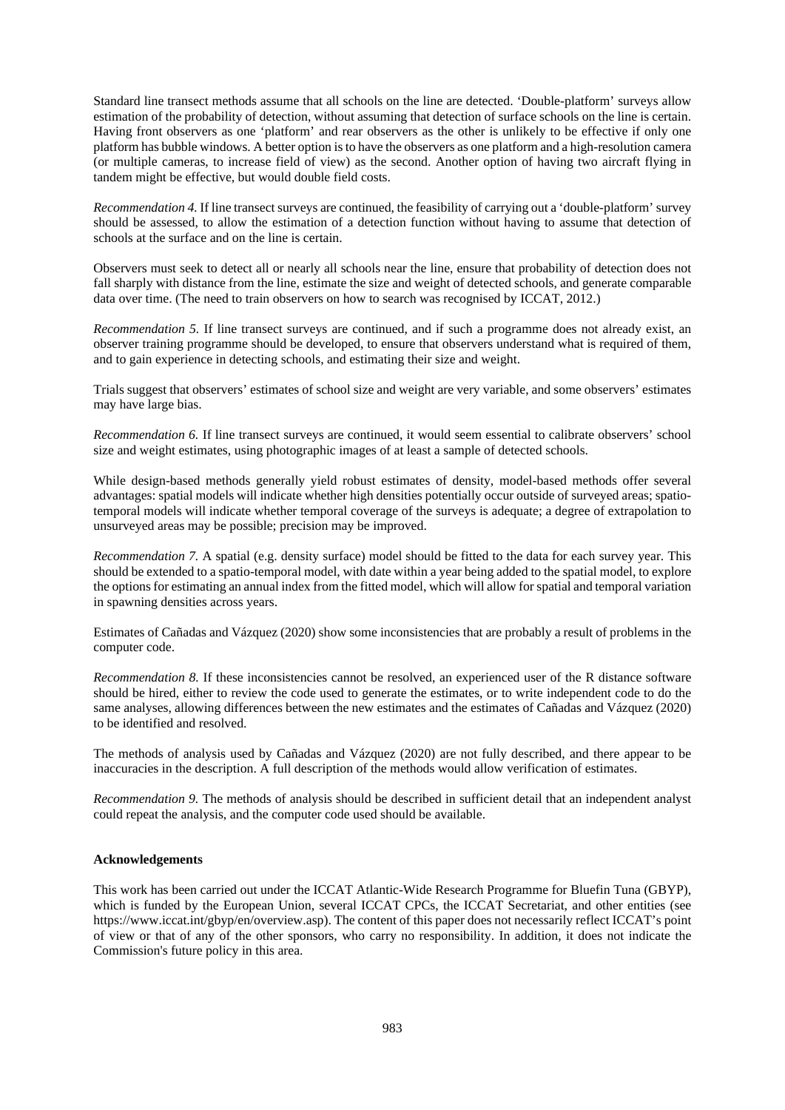Standard line transect methods assume that all schools on the line are detected. 'Double-platform' surveys allow estimation of the probability of detection, without assuming that detection of surface schools on the line is certain. Having front observers as one 'platform' and rear observers as the other is unlikely to be effective if only one platform has bubble windows. A better option is to have the observers as one platform and a high-resolution camera (or multiple cameras, to increase field of view) as the second. Another option of having two aircraft flying in tandem might be effective, but would double field costs.

*Recommendation 4.* If line transect surveys are continued, the feasibility of carrying out a 'double-platform' survey should be assessed, to allow the estimation of a detection function without having to assume that detection of schools at the surface and on the line is certain.

Observers must seek to detect all or nearly all schools near the line, ensure that probability of detection does not fall sharply with distance from the line, estimate the size and weight of detected schools, and generate comparable data over time. (The need to train observers on how to search was recognised by ICCAT, 2012.)

*Recommendation 5.* If line transect surveys are continued, and if such a programme does not already exist, an observer training programme should be developed, to ensure that observers understand what is required of them, and to gain experience in detecting schools, and estimating their size and weight.

Trials suggest that observers' estimates of school size and weight are very variable, and some observers' estimates may have large bias.

*Recommendation 6.* If line transect surveys are continued, it would seem essential to calibrate observers' school size and weight estimates, using photographic images of at least a sample of detected schools.

While design-based methods generally yield robust estimates of density, model-based methods offer several advantages: spatial models will indicate whether high densities potentially occur outside of surveyed areas; spatiotemporal models will indicate whether temporal coverage of the surveys is adequate; a degree of extrapolation to unsurveyed areas may be possible; precision may be improved.

*Recommendation 7.* A spatial (e.g. density surface) model should be fitted to the data for each survey year. This should be extended to a spatio-temporal model, with date within a year being added to the spatial model, to explore the options for estimating an annual index from the fitted model, which will allow for spatial and temporal variation in spawning densities across years.

Estimates of Cañadas and Vázquez (2020) show some inconsistencies that are probably a result of problems in the computer code.

*Recommendation 8.* If these inconsistencies cannot be resolved, an experienced user of the R distance software should be hired, either to review the code used to generate the estimates, or to write independent code to do the same analyses, allowing differences between the new estimates and the estimates of Cañadas and Vázquez (2020) to be identified and resolved.

The methods of analysis used by Cañadas and Vázquez (2020) are not fully described, and there appear to be inaccuracies in the description. A full description of the methods would allow verification of estimates.

*Recommendation 9.* The methods of analysis should be described in sufficient detail that an independent analyst could repeat the analysis, and the computer code used should be available.

# **Acknowledgements**

This work has been carried out under the ICCAT Atlantic-Wide Research Programme for Bluefin Tuna (GBYP), which is funded by the European Union, several ICCAT CPCs, the ICCAT Secretariat, and other entities (see https://www.iccat.int/gbyp/en/overview.asp). The content of this paper does not necessarily reflect ICCAT's point of view or that of any of the other sponsors, who carry no responsibility. In addition, it does not indicate the Commission's future policy in this area.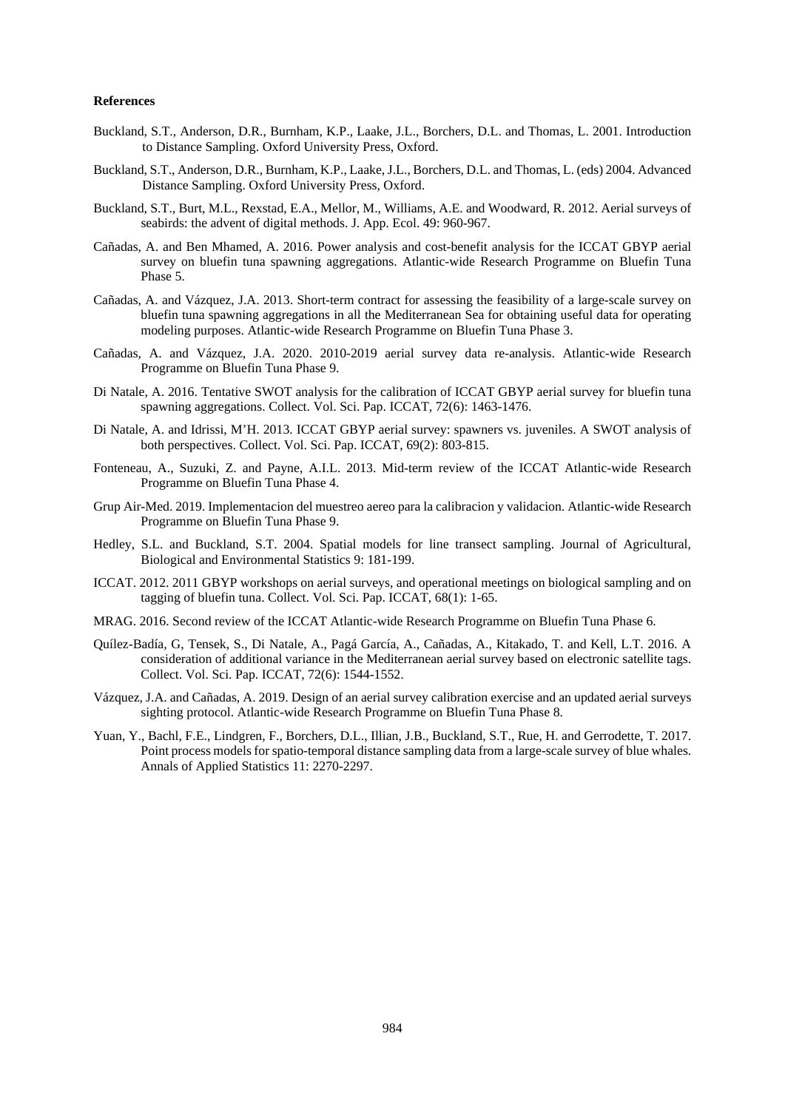# **References**

- Buckland, S.T., Anderson, D.R., Burnham, K.P., Laake, J.L., Borchers, D.L. and Thomas, L. 2001. Introduction to Distance Sampling. Oxford University Press, Oxford.
- Buckland, S.T., Anderson, D.R., Burnham, K.P., Laake, J.L., Borchers, D.L. and Thomas, L. (eds) 2004. Advanced Distance Sampling. Oxford University Press, Oxford.
- Buckland, S.T., Burt, M.L., Rexstad, E.A., Mellor, M., Williams, A.E. and Woodward, R. 2012. Aerial surveys of seabirds: the advent of digital methods. J. App. Ecol. 49: 960-967.
- Cañadas, A. and Ben Mhamed, A. 2016. Power analysis and cost-benefit analysis for the ICCAT GBYP aerial survey on bluefin tuna spawning aggregations. Atlantic-wide Research Programme on Bluefin Tuna Phase 5.
- Cañadas, A. and Vázquez, J.A. 2013. Short-term contract for assessing the feasibility of a large-scale survey on bluefin tuna spawning aggregations in all the Mediterranean Sea for obtaining useful data for operating modeling purposes. Atlantic-wide Research Programme on Bluefin Tuna Phase 3.
- Cañadas, A. and Vázquez, J.A. 2020. 2010-2019 aerial survey data re-analysis. Atlantic-wide Research Programme on Bluefin Tuna Phase 9.
- Di Natale, A. 2016. Tentative SWOT analysis for the calibration of ICCAT GBYP aerial survey for bluefin tuna spawning aggregations. Collect. Vol. Sci. Pap. ICCAT, 72(6): 1463-1476.
- Di Natale, A. and Idrissi, M'H. 2013. ICCAT GBYP aerial survey: spawners vs. juveniles. A SWOT analysis of both perspectives. Collect. Vol. Sci. Pap. ICCAT, 69(2): 803-815.
- Fonteneau, A., Suzuki, Z. and Payne, A.I.L. 2013. Mid-term review of the ICCAT Atlantic-wide Research Programme on Bluefin Tuna Phase 4.
- Grup Air-Med. 2019. Implementacion del muestreo aereo para la calibracion y validacion. Atlantic-wide Research Programme on Bluefin Tuna Phase 9.
- Hedley, S.L. and Buckland, S.T. 2004. Spatial models for line transect sampling. Journal of Agricultural, Biological and Environmental Statistics 9: 181-199.
- ICCAT. 2012. 2011 GBYP workshops on aerial surveys, and operational meetings on biological sampling and on tagging of bluefin tuna. Collect. Vol. Sci. Pap. ICCAT, 68(1): 1-65.
- MRAG. 2016. Second review of the ICCAT Atlantic-wide Research Programme on Bluefin Tuna Phase 6.
- Quílez-Badía, G, Tensek, S., Di Natale, A., Pagá García, A., Cañadas, A., Kitakado, T. and Kell, L.T. 2016. A consideration of additional variance in the Mediterranean aerial survey based on electronic satellite tags. Collect. Vol. Sci. Pap. ICCAT, 72(6): 1544-1552.
- Vázquez, J.A. and Cañadas, A. 2019. Design of an aerial survey calibration exercise and an updated aerial surveys sighting protocol. Atlantic-wide Research Programme on Bluefin Tuna Phase 8.
- Yuan, Y., Bachl, F.E., Lindgren, F., Borchers, D.L., Illian, J.B., Buckland, S.T., Rue, H. and Gerrodette, T. 2017. Point process models for spatio-temporal distance sampling data from a large-scale survey of blue whales. Annals of Applied Statistics 11: 2270-2297.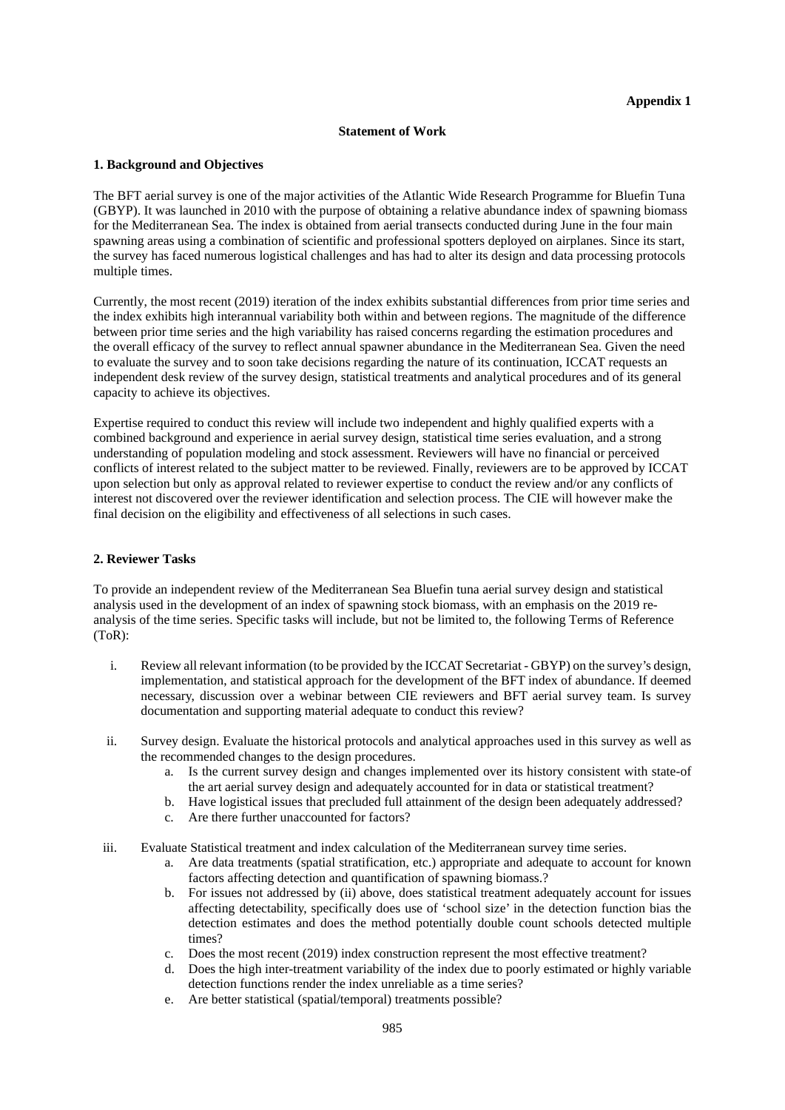#### **Statement of Work**

# **1. Background and Objectives**

The BFT aerial survey is one of the major activities of the Atlantic Wide Research Programme for Bluefin Tuna (GBYP). It was launched in 2010 with the purpose of obtaining a relative abundance index of spawning biomass for the Mediterranean Sea. The index is obtained from aerial transects conducted during June in the four main spawning areas using a combination of scientific and professional spotters deployed on airplanes. Since its start, the survey has faced numerous logistical challenges and has had to alter its design and data processing protocols multiple times.

Currently, the most recent (2019) iteration of the index exhibits substantial differences from prior time series and the index exhibits high interannual variability both within and between regions. The magnitude of the difference between prior time series and the high variability has raised concerns regarding the estimation procedures and the overall efficacy of the survey to reflect annual spawner abundance in the Mediterranean Sea. Given the need to evaluate the survey and to soon take decisions regarding the nature of its continuation, ICCAT requests an independent desk review of the survey design, statistical treatments and analytical procedures and of its general capacity to achieve its objectives.

Expertise required to conduct this review will include two independent and highly qualified experts with a combined background and experience in aerial survey design, statistical time series evaluation, and a strong understanding of population modeling and stock assessment. Reviewers will have no financial or perceived conflicts of interest related to the subject matter to be reviewed. Finally, reviewers are to be approved by ICCAT upon selection but only as approval related to reviewer expertise to conduct the review and/or any conflicts of interest not discovered over the reviewer identification and selection process. The CIE will however make the final decision on the eligibility and effectiveness of all selections in such cases.

# **2. Reviewer Tasks**

To provide an independent review of the Mediterranean Sea Bluefin tuna aerial survey design and statistical analysis used in the development of an index of spawning stock biomass, with an emphasis on the 2019 reanalysis of the time series. Specific tasks will include, but not be limited to, the following Terms of Reference (ToR):

- i. Review all relevant information (to be provided by the ICCAT Secretariat GBYP) on the survey's design, implementation, and statistical approach for the development of the BFT index of abundance. If deemed necessary, discussion over a webinar between CIE reviewers and BFT aerial survey team. Is survey documentation and supporting material adequate to conduct this review?
- ii. Survey design. Evaluate the historical protocols and analytical approaches used in this survey as well as the recommended changes to the design procedures.
	- a. Is the current survey design and changes implemented over its history consistent with state-of the art aerial survey design and adequately accounted for in data or statistical treatment?
	- b. Have logistical issues that precluded full attainment of the design been adequately addressed?
	- c. Are there further unaccounted for factors?
- iii. Evaluate Statistical treatment and index calculation of the Mediterranean survey time series.
	- a. Are data treatments (spatial stratification, etc.) appropriate and adequate to account for known factors affecting detection and quantification of spawning biomass.?
	- b. For issues not addressed by (ii) above, does statistical treatment adequately account for issues affecting detectability, specifically does use of 'school size' in the detection function bias the detection estimates and does the method potentially double count schools detected multiple times?
	- c. Does the most recent (2019) index construction represent the most effective treatment?
	- d. Does the high inter-treatment variability of the index due to poorly estimated or highly variable detection functions render the index unreliable as a time series?
	- e. Are better statistical (spatial/temporal) treatments possible?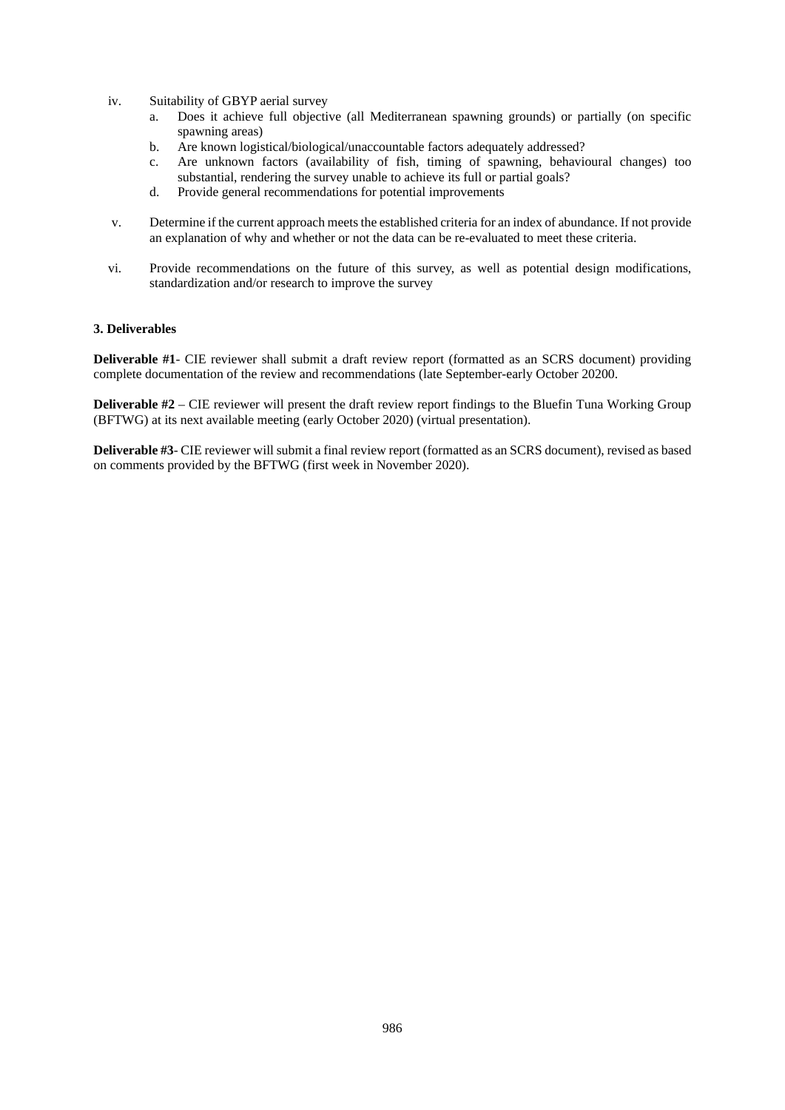- iv. Suitability of GBYP aerial survey
	- a. Does it achieve full objective (all Mediterranean spawning grounds) or partially (on specific spawning areas)
	- b. Are known logistical/biological/unaccountable factors adequately addressed?
	- c. Are unknown factors (availability of fish, timing of spawning, behavioural changes) too substantial, rendering the survey unable to achieve its full or partial goals?
	- d. Provide general recommendations for potential improvements
- v. Determine if the current approach meets the established criteria for an index of abundance. If not provide an explanation of why and whether or not the data can be re-evaluated to meet these criteria.
- vi. Provide recommendations on the future of this survey, as well as potential design modifications, standardization and/or research to improve the survey

# **3. Deliverables**

**Deliverable #1**- CIE reviewer shall submit a draft review report (formatted as an SCRS document) providing complete documentation of the review and recommendations (late September-early October 20200.

**Deliverable #2** – CIE reviewer will present the draft review report findings to the Bluefin Tuna Working Group (BFTWG) at its next available meeting (early October 2020) (virtual presentation).

**Deliverable #3**- CIE reviewer will submit a final review report (formatted as an SCRS document), revised as based on comments provided by the BFTWG (first week in November 2020).